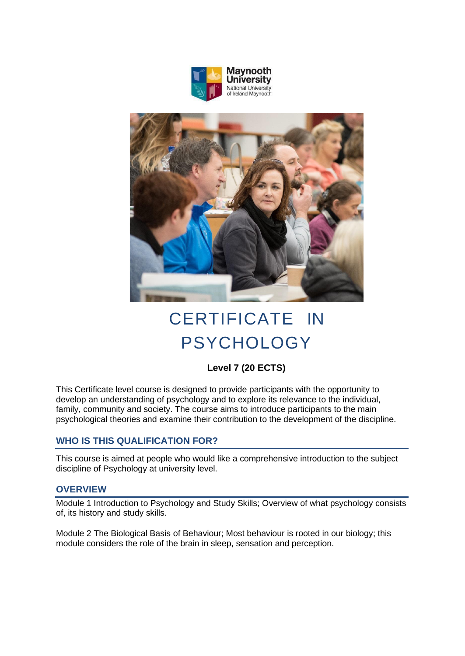



# CERTIFICATE IN PSYCHOLOGY

# **Level 7 (20 ECTS)**

This Certificate level course is designed to provide participants with the opportunity to develop an understanding of psychology and to explore its relevance to the individual, family, community and society. The course aims to introduce participants to the main psychological theories and examine their contribution to the development of the discipline.

# **WHO IS THIS QUALIFICATION FOR?**

This course is aimed at people who would like a comprehensive introduction to the subject discipline of Psychology at university level.

#### **OVERVIEW**

Module 1 Introduction to Psychology and Study Skills; Overview of what psychology consists of, its history and study skills.

Module 2 The Biological Basis of Behaviour; Most behaviour is rooted in our biology; this module considers the role of the brain in sleep, sensation and perception.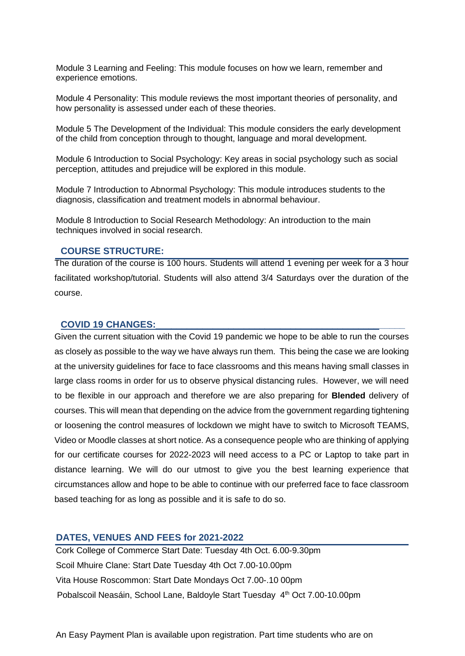Module 3 Learning and Feeling: This module focuses on how we learn, remember and experience emotions.

Module 4 Personality: This module reviews the most important theories of personality, and how personality is assessed under each of these theories.

Module 5 The Development of the Individual: This module considers the early development of the child from conception through to thought, language and moral development.

Module 6 Introduction to Social Psychology: Key areas in social psychology such as social perception, attitudes and prejudice will be explored in this module.

Module 7 Introduction to Abnormal Psychology: This module introduces students to the diagnosis, classification and treatment models in abnormal behaviour.

Module 8 Introduction to Social Research Methodology: An introduction to the main techniques involved in social research.

#### **COURSE STRUCTURE:**

The duration of the course is 100 hours. Students will attend 1 evening per week for a 3 hour facilitated workshop/tutorial. Students will also attend 3/4 Saturdays over the duration of the course.

#### **COVID 19 CHANGES:\_\_\_\_\_\_\_\_\_\_\_\_\_\_\_\_\_\_\_\_\_\_\_\_\_\_\_\_\_\_\_\_\_\_\_\_\_\_\_\_\_\_\_\_\_\_\_\_**

Given the current situation with the Covid 19 pandemic we hope to be able to run the courses as closely as possible to the way we have always run them. This being the case we are looking at the university guidelines for face to face classrooms and this means having small classes in large class rooms in order for us to observe physical distancing rules. However, we will need to be flexible in our approach and therefore we are also preparing for **Blended** delivery of courses. This will mean that depending on the advice from the government regarding tightening or loosening the control measures of lockdown we might have to switch to Microsoft TEAMS, Video or Moodle classes at short notice. As a consequence people who are thinking of applying for our certificate courses for 2022-2023 will need access to a PC or Laptop to take part in distance learning. We will do our utmost to give you the best learning experience that circumstances allow and hope to be able to continue with our preferred face to face classroom based teaching for as long as possible and it is safe to do so.

## **DATES, VENUES AND FEES for 2021-2022**

Cork College of Commerce Start Date: Tuesday 4th Oct. 6.00-9.30pm Scoil Mhuire Clane: Start Date Tuesday 4th Oct 7.00-10.00pm Vita House Roscommon: Start Date Mondays Oct 7.00-.10 00pm Pobalscoil Neasáin, School Lane, Baldoyle Start Tuesday 4<sup>th</sup> Oct 7.00-10.00pm